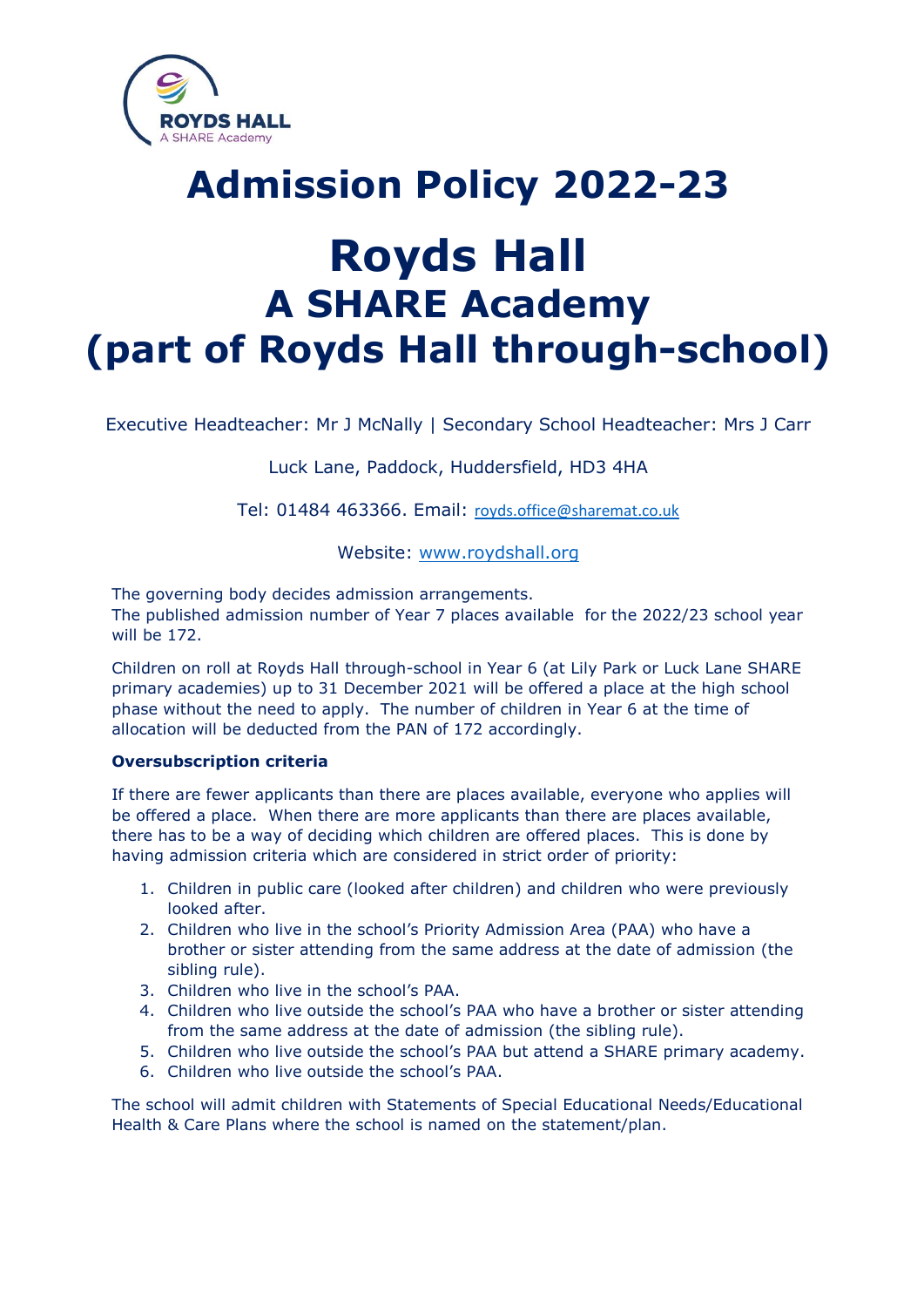

**Royds Hall A SHARE Academy (part of Royds Hall through-school)**

**Admission Policy 2022-23**

Executive Headteacher: Mr J McNally | Secondary School Headteacher: Mrs J Carr

Luck Lane, Paddock, Huddersfield, HD3 4HA

Tel: 01484 463366. Email: [royds.office@sharemat.co.uk](mailto:royds.office@sharemat.co.uk)

Website: [www.roydshall.org](http://www.roydshall.org/)

The governing body decides admission arrangements. The published admission number of Year 7 places available for the 2022/23 school year will be 172.

Children on roll at Royds Hall through-school in Year 6 (at Lily Park or Luck Lane SHARE primary academies) up to 31 December 2021 will be offered a place at the high school phase without the need to apply. The number of children in Year 6 at the time of allocation will be deducted from the PAN of 172 accordingly.

## **Oversubscription criteria**

If there are fewer applicants than there are places available, everyone who applies will be offered a place. When there are more applicants than there are places available, there has to be a way of deciding which children are offered places. This is done by having admission criteria which are considered in strict order of priority:

- 1. Children in public care (looked after children) and children who were previously looked after.
- 2. Children who live in the school's Priority Admission Area (PAA) who have a brother or sister attending from the same address at the date of admission (the sibling rule).
- 3. Children who live in the school's PAA.
- 4. Children who live outside the school's PAA who have a brother or sister attending from the same address at the date of admission (the sibling rule).
- 5. Children who live outside the school's PAA but attend a SHARE primary academy.
- 6. Children who live outside the school's PAA.

The school will admit children with Statements of Special Educational Needs/Educational Health & Care Plans where the school is named on the statement/plan.